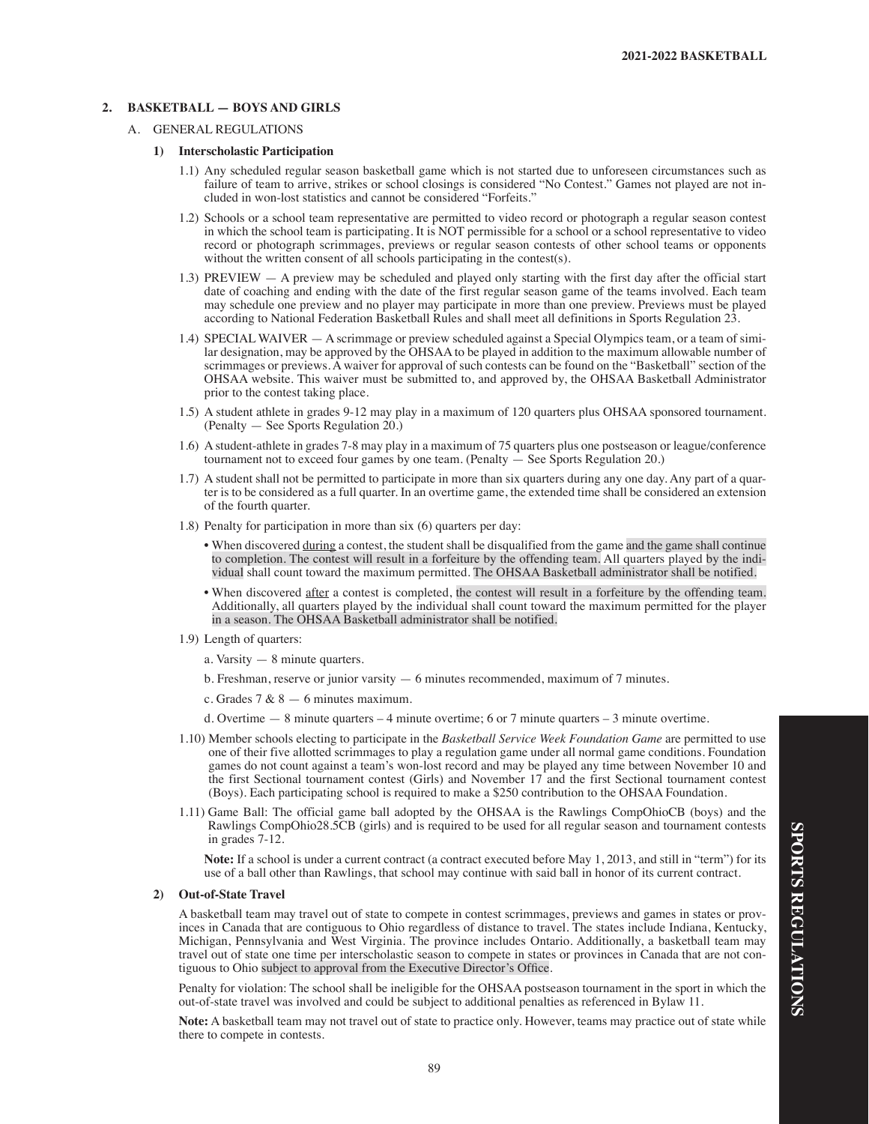# **2. BASKETBALL — BOYS AND GIRLS**

## A. GENERAL REGULATIONS

#### **1) Interscholastic Participation**

- 1.1) Any scheduled regular season basketball game which is not started due to unforeseen circumstances such as failure of team to arrive, strikes or school closings is considered "No Contest." Games not played are not included in won-lost statistics and cannot be considered "Forfeits."
- 1.2) Schools or a school team representative are permitted to video record or photograph a regular season contest in which the school team is participating. It is NOT permissible for a school or a school representative to video record or photograph scrimmages, previews or regular season contests of other school teams or opponents without the written consent of all schools participating in the contest(s).
- 1.3) PREVIEW A preview may be scheduled and played only starting with the first day after the official start date of coaching and ending with the date of the first regular season game of the teams involved. Each team may schedule one preview and no player may participate in more than one preview. Previews must be played according to National Federation Basketball Rules and shall meet all definitions in Sports Regulation 23.
- 1.4) SPECIAL WAIVER A scrimmage or preview scheduled against a Special Olympics team, or a team of similar designation, may be approved by the OHSAA to be played in addition to the maximum allowable number of scrimmages or previews. A waiver for approval of such contests can be found on the "Basketball" section of the OHSAA website. This waiver must be submitted to, and approved by, the OHSAA Basketball Administrator prior to the contest taking place.
- 1.5) A student athlete in grades 9-12 may play in a maximum of 120 quarters plus OHSAA sponsored tournament. (Penalty — See Sports Regulation 20.)
- 1.6) A student-athlete in grades 7-8 may play in a maximum of 75 quarters plus one postseason or league/conference tournament not to exceed four games by one team. (Penalty — See Sports Regulation 20.)
- 1.7) A student shall not be permitted to participate in more than six quarters during any one day. Any part of a quarter is to be considered as a full quarter. In an overtime game, the extended time shall be considered an extension of the fourth quarter.
- 1.8) Penalty for participation in more than six (6) quarters per day:
	- When discovered during a contest, the student shall be disqualified from the game and the game shall continue to completion. The contest will result in a forfeiture by the offending team. All quarters played by the individual shall count toward the maximum permitted. The OHSAA Basketball administrator shall be notified.
	- When discovered after a contest is completed, the contest will result in a forfeiture by the offending team. Additionally, all quarters played by the individual shall count toward the maximum permitted for the player in a season. The OHSAA Basketball administrator shall be notified.
- 1.9) Length of quarters:
	- a. Varsity 8 minute quarters.
	- b. Freshman, reserve or junior varsity 6 minutes recommended, maximum of 7 minutes.
	- c. Grades  $7 & 8 6$  minutes maximum.
	- d. Overtime 8 minute quarters 4 minute overtime; 6 or 7 minute quarters 3 minute overtime.
- 1.10) Member schools electing to participate in the *Basketball Service Week Foundation Game* are permitted to use one of their five allotted scrimmages to play a regulation game under all normal game conditions. Foundation games do not count against a team's won-lost record and may be played any time between November 10 and the first Sectional tournament contest (Girls) and November 17 and the first Sectional tournament contest (Boys). Each participating school is required to make a \$250 contribution to the OHSAA Foundation.
- 1.11) Game Ball: The official game ball adopted by the OHSAA is the Rawlings CompOhioCB (boys) and the Rawlings CompOhio28.5CB (girls) and is required to be used for all regular season and tournament contests in grades 7-12.

**Note:** If a school is under a current contract (a contract executed before May 1, 2013, and still in "term") for its use of a ball other than Rawlings, that school may continue with said ball in honor of its current contract.

#### **2) Out-of-State Travel**

A basketball team may travel out of state to compete in contest scrimmages, previews and games in states or provinces in Canada that are contiguous to Ohio regardless of distance to travel. The states include Indiana, Kentucky, Michigan, Pennsylvania and West Virginia. The province includes Ontario. Additionally, a basketball team may travel out of state one time per interscholastic season to compete in states or provinces in Canada that are not contiguous to Ohio subject to approval from the Executive Director's Office.

Penalty for violation: The school shall be ineligible for the OHSAA postseason tournament in the sport in which the out-of-state travel was involved and could be subject to additional penalties as referenced in Bylaw 11.

**Note:** A basketball team may not travel out of state to practice only. However, teams may practice out of state while there to compete in contests.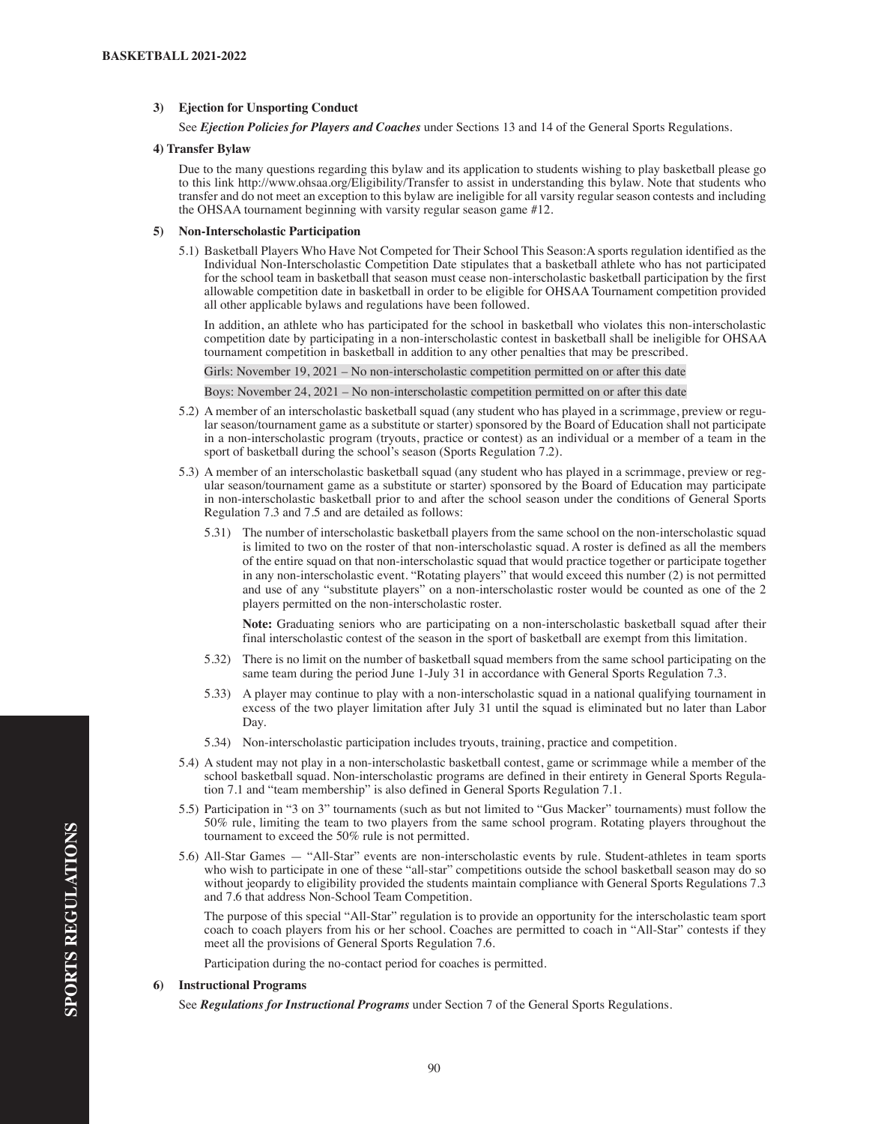# **3) Ejection for Unsporting Conduct**

See *Ejection Policies for Players and Coaches* under Sections 13 and 14 of the General Sports Regulations.

#### **4) Transfer Bylaw**

Due to the many questions regarding this bylaw and its application to students wishing to play basketball please go to this link http://www.ohsaa.org/Eligibility/Transfer to assist in understanding this bylaw. Note that students who transfer and do not meet an exception to this bylaw are ineligible for all varsity regular season contests and including the OHSAA tournament beginning with varsity regular season game #12.

#### **5) Non-Interscholastic Participation**

5.1) Basketball Players Who Have Not Competed for Their School This Season:A sports regulation identified as the Individual Non-Interscholastic Competition Date stipulates that a basketball athlete who has not participated for the school team in basketball that season must cease non-interscholastic basketball participation by the first allowable competition date in basketball in order to be eligible for OHSAA Tournament competition provided all other applicable bylaws and regulations have been followed.

In addition, an athlete who has participated for the school in basketball who violates this non-interscholastic competition date by participating in a non-interscholastic contest in basketball shall be ineligible for OHSAA tournament competition in basketball in addition to any other penalties that may be prescribed.

Girls: November 19, 2021 – No non-interscholastic competition permitted on or after this date

Boys: November 24, 2021 – No non-interscholastic competition permitted on or after this date

- 5.2) A member of an interscholastic basketball squad (any student who has played in a scrimmage, preview or regular season/tournament game as a substitute or starter) sponsored by the Board of Education shall not participate in a non-interscholastic program (tryouts, practice or contest) as an individual or a member of a team in the sport of basketball during the school's season (Sports Regulation 7.2).
- 5.3) A member of an interscholastic basketball squad (any student who has played in a scrimmage, preview or regular season/tournament game as a substitute or starter) sponsored by the Board of Education may participate in non-interscholastic basketball prior to and after the school season under the conditions of General Sports Regulation 7.3 and 7.5 and are detailed as follows:
	- 5.31) The number of interscholastic basketball players from the same school on the non-interscholastic squad is limited to two on the roster of that non-interscholastic squad. A roster is defined as all the members of the entire squad on that non-interscholastic squad that would practice together or participate together in any non-interscholastic event. "Rotating players" that would exceed this number (2) is not permitted and use of any "substitute players" on a non-interscholastic roster would be counted as one of the 2 players permitted on the non-interscholastic roster.

 **Note:** Graduating seniors who are participating on a non-interscholastic basketball squad after their final interscholastic contest of the season in the sport of basketball are exempt from this limitation.

- 5.32) There is no limit on the number of basketball squad members from the same school participating on the same team during the period June 1-July 31 in accordance with General Sports Regulation 7.3.
- 5.33) A player may continue to play with a non-interscholastic squad in a national qualifying tournament in excess of the two player limitation after July 31 until the squad is eliminated but no later than Labor Day.
- 5.34) Non-interscholastic participation includes tryouts, training, practice and competition.
- 5.4) A student may not play in a non-interscholastic basketball contest, game or scrimmage while a member of the school basketball squad. Non-interscholastic programs are defined in their entirety in General Sports Regulation 7.1 and "team membership" is also defined in General Sports Regulation 7.1.
- 5.5) Participation in "3 on 3" tournaments (such as but not limited to "Gus Macker" tournaments) must follow the 50% rule, limiting the team to two players from the same school program. Rotating players throughout the tournament to exceed the 50% rule is not permitted.
- 5.6) All-Star Games "All-Star" events are non-interscholastic events by rule. Student-athletes in team sports who wish to participate in one of these "all-star" competitions outside the school basketball season may do so without jeopardy to eligibility provided the students maintain compliance with General Sports Regulations 7.3 and 7.6 that address Non-School Team Competition.

 The purpose of this special "All-Star" regulation is to provide an opportunity for the interscholastic team sport coach to coach players from his or her school. Coaches are permitted to coach in "All-Star" contests if they meet all the provisions of General Sports Regulation 7.6.

Participation during the no-contact period for coaches is permitted.

# **6) Instructional Programs**

See *Regulations for Instructional Programs* under Section 7 of the General Sports Regulations.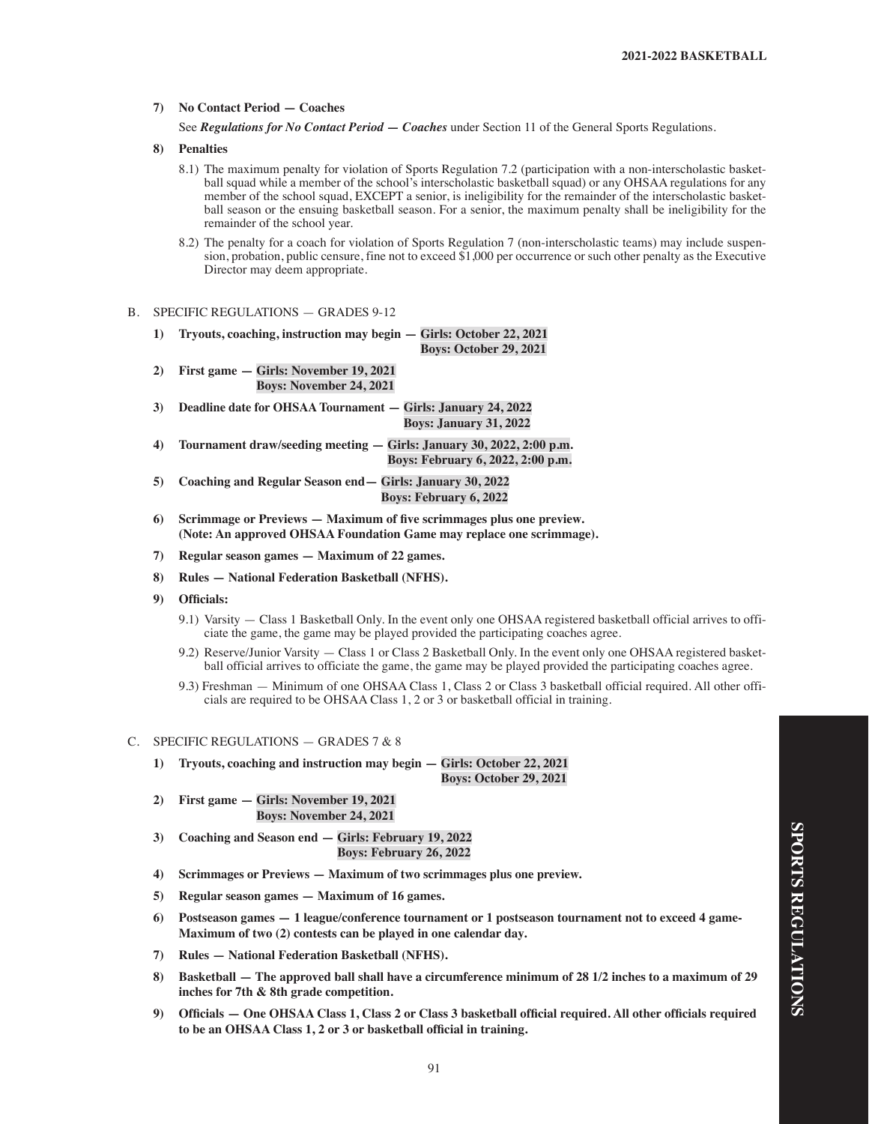## **7) No Contact Period — Coaches**

See *Regulations for No Contact Period — Coaches* under Section 11 of the General Sports Regulations.

## **8) Penalties**

- 8.1) The maximum penalty for violation of Sports Regulation 7.2 (participation with a non-interscholastic basketball squad while a member of the school's interscholastic basketball squad) or any OHSAA regulations for any member of the school squad, EXCEPT a senior, is ineligibility for the remainder of the interscholastic basketball season or the ensuing basketball season. For a senior, the maximum penalty shall be ineligibility for the remainder of the school year.
- 8.2) The penalty for a coach for violation of Sports Regulation 7 (non-interscholastic teams) may include suspension, probation, public censure, fine not to exceed \$1,000 per occurrence or such other penalty as the Executive Director may deem appropriate.
- B. SPECIFIC REGULATIONS GRADES 9-12
	- **1) Tryouts, coaching, instruction may begin Girls: October 22, 2021 Boys: October 29, 2021**
	- **2) First game Girls: November 19, 2021 Boys: November 24, 2021**
	- **3) Deadline date for OHSAA Tournament Girls: January 24, 2022 Boys: January 31, 2022**
	- **4) Tournament draw/seeding meeting Girls: January 30, 2022, 2:00 p.m. Boys: February 6, 2022, 2:00 p.m.**
	- **5) Coaching and Regular Season end— Girls: January 30, 2022 Boys: February 6, 2022**
	- **6) Scrimmage or Previews — Maximum of five scrimmages plus one preview. (Note: An approved OHSAA Foundation Game may replace one scrimmage).**
	- **7) Regular season games Maximum of 22 games.**
	- **8) Rules National Federation Basketball (NFHS).**
	- 9) Officials:
		- 9.1) Varsity Class 1 Basketball Only. In the event only one OHSAA registered basketball official arrives to officiate the game, the game may be played provided the participating coaches agree.
		- 9.2) Reserve/Junior Varsity Class 1 or Class 2 Basketball Only. In the event only one OHSAA registered basketball official arrives to officiate the game, the game may be played provided the participating coaches agree.
		- 9.3) Freshman Minimum of one OHSAA Class 1, Class 2 or Class 3 basketball official required. All other officials are required to be OHSAA Class 1, 2 or 3 or basketball official in training.

# C. SPECIFIC REGULATIONS — GRADES 7 & 8

- **1) Tryouts, coaching and instruction may begin Girls: October 22, 2021 Boys: October 29, 2021**
- **2) First game Girls: November 19, 2021 Boys: November 24, 2021**
- **3) Coaching and Season end Girls: February 19, 2022 Boys: February 26, 2022**
- **4) Scrimmages or Previews Maximum of two scrimmages plus one preview.**
- **5) Regular season games Maximum of 16 games.**
- **6) Postseason games 1 league/conference tournament or 1 postseason tournament not to exceed 4 game-Maximum of two (2) contests can be played in one calendar day.**
- **7) Rules National Federation Basketball (NFHS).**
- **8) Basketball The approved ball shall have a circumference minimum of 28 1/2 inches to a maximum of 29 inches for 7th & 8th grade competition.**
- 9) Officials One OHSAA Class 1, Class 2 or Class 3 basketball official required. All other officials required **to be an OHSAA Class 1, 2 or 3 or basketball official in training.**